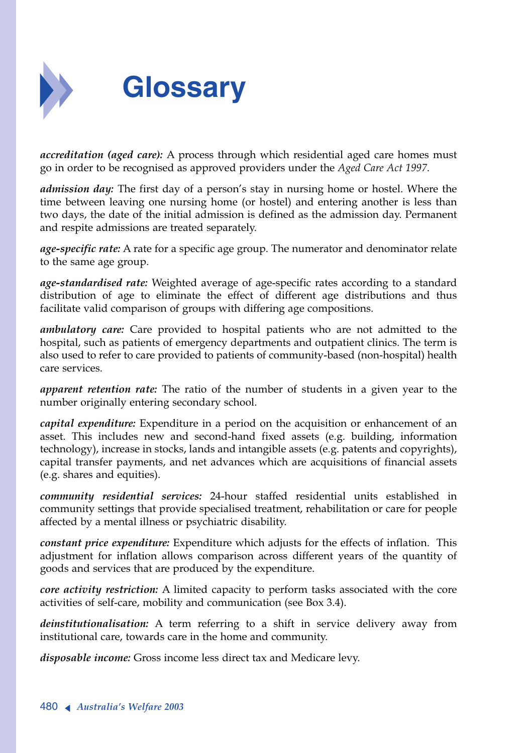

*accreditation (aged care):* A process through which residential aged care homes must go in order to be recognised as approved providers under the *Aged Care Act 1997*.

*admission day:* The first day of a person's stay in nursing home or hostel. Where the time between leaving one nursing home (or hostel) and entering another is less than two days, the date of the initial admission is defined as the admission day. Permanent and respite admissions are treated separately.

*age-specific rate:* A rate for a specific age group. The numerator and denominator relate to the same age group.

*age-standardised rate:* Weighted average of age-specific rates according to a standard distribution of age to eliminate the effect of different age distributions and thus facilitate valid comparison of groups with differing age compositions.

*ambulatory care:* Care provided to hospital patients who are not admitted to the hospital, such as patients of emergency departments and outpatient clinics. The term is also used to refer to care provided to patients of community-based (non-hospital) health care services.

*apparent retention rate:* The ratio of the number of students in a given year to the number originally entering secondary school.

*capital expenditure:* Expenditure in a period on the acquisition or enhancement of an asset. This includes new and second-hand fixed assets (e.g. building, information technology), increase in stocks, lands and intangible assets (e.g. patents and copyrights), capital transfer payments, and net advances which are acquisitions of financial assets (e.g. shares and equities).

*community residential services:* 24-hour staffed residential units established in community settings that provide specialised treatment, rehabilitation or care for people affected by a mental illness or psychiatric disability.

*constant price expenditure:* Expenditure which adjusts for the effects of inflation. This adjustment for inflation allows comparison across different years of the quantity of goods and services that are produced by the expenditure.

*core activity restriction:* A limited capacity to perform tasks associated with the core activities of self-care, mobility and communication (see Box 3.4).

*deinstitutionalisation:* A term referring to a shift in service delivery away from institutional care, towards care in the home and community.

*disposable income:* Gross income less direct tax and Medicare levy.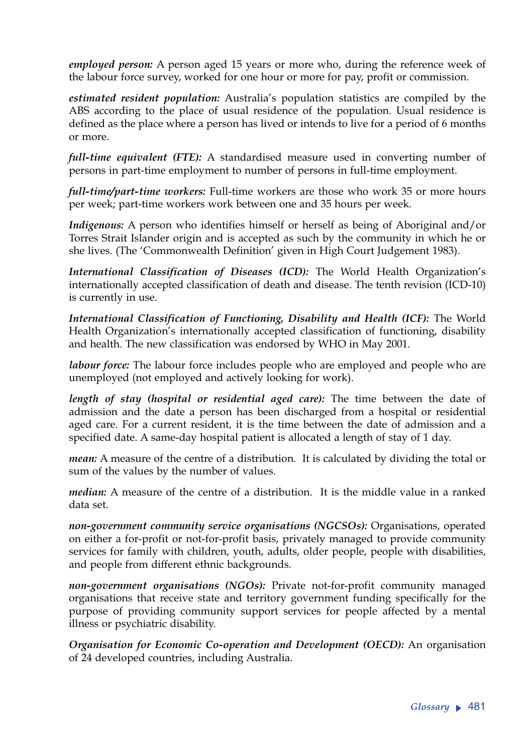*employed person:* A person aged 15 years or more who, during the reference week of the labour force survey, worked for one hour or more for pay, profit or commission.

*estimated resident population:* Australia's population statistics are compiled by the ABS according to the place of usual residence of the population. Usual residence is defined as the place where a person has lived or intends to live for a period of 6 months or more.

*full-time equivalent (FTE):* A standardised measure used in converting number of persons in part-time employment to number of persons in full-time employment.

*full-time/part-time workers:* Full-time workers are those who work 35 or more hours per week; part-time workers work between one and 35 hours per week.

*Indigenous:* A person who identifies himself or herself as being of Aboriginal and/or Torres Strait Islander origin and is accepted as such by the community in which he or she lives. (The 'Commonwealth Definition' given in High Court Judgement 1983).

*International Classification of Diseases (ICD):* The World Health Organization's internationally accepted classification of death and disease. The tenth revision (ICD-10) is currently in use.

*International Classification of Functioning, Disability and Health (ICF):* The World Health Organization's internationally accepted classification of functioning, disability and health. The new classification was endorsed by WHO in May 2001.

*labour force:* The labour force includes people who are employed and people who are unemployed (not employed and actively looking for work).

*length of stay (hospital or residential aged care):* The time between the date of admission and the date a person has been discharged from a hospital or residential aged care. For a current resident, it is the time between the date of admission and a specified date. A same-day hospital patient is allocated a length of stay of 1 day.

*mean:* A measure of the centre of a distribution. It is calculated by dividing the total or sum of the values by the number of values.

*median:* A measure of the centre of a distribution. It is the middle value in a ranked data set.

*non-government community service organisations (NGCSOs):* Organisations, operated on either a for-profit or not-for-profit basis, privately managed to provide community services for family with children, youth, adults, older people, people with disabilities, and people from different ethnic backgrounds.

*non-government organisations (NGOs):* Private not-for-profit community managed organisations that receive state and territory government funding specifically for the purpose of providing community support services for people affected by a mental illness or psychiatric disability.

*Organisation for Economic Co-operation and Development (OECD):* An organisation of 24 developed countries, including Australia.